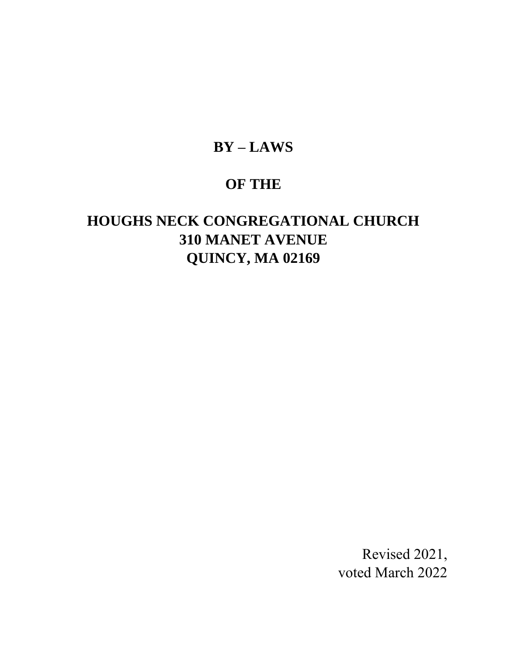# **BY – LAWS**

# **OF THE**

# **HOUGHS NECK CONGREGATIONAL CHURCH 310 MANET AVENUE QUINCY, MA 02169**

Revised 2021, voted March 2022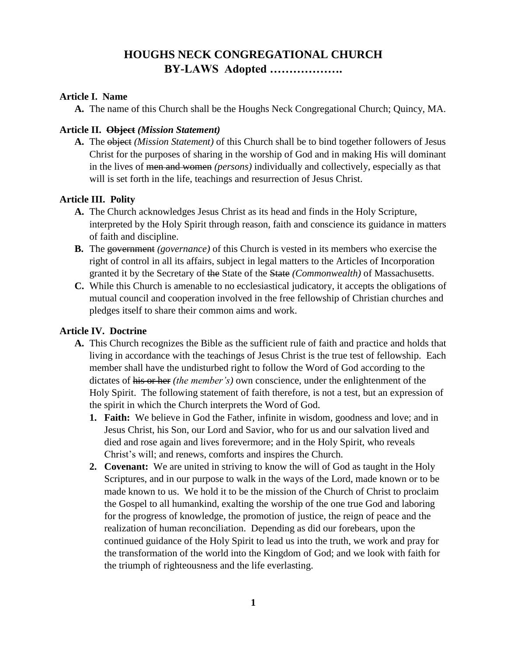# **HOUGHS NECK CONGREGATIONAL CHURCH BY-LAWS Adopted ……………….**

### **Article I. Name**

**A.** The name of this Church shall be the Houghs Neck Congregational Church; Quincy, MA.

### **Article II. Object** *(Mission Statement)*

**A.** The object *(Mission Statement)* of this Church shall be to bind together followers of Jesus Christ for the purposes of sharing in the worship of God and in making His will dominant in the lives of men and women *(persons)* individually and collectively, especially as that will is set forth in the life, teachings and resurrection of Jesus Christ.

# **Article III. Polity**

- **A.** The Church acknowledges Jesus Christ as its head and finds in the Holy Scripture, interpreted by the Holy Spirit through reason, faith and conscience its guidance in matters of faith and discipline.
- **B.** The government *(governance)* of this Church is vested in its members who exercise the right of control in all its affairs, subject in legal matters to the Articles of Incorporation granted it by the Secretary of the State of the State *(Commonwealth)* of Massachusetts.
- **C.** While this Church is amenable to no ecclesiastical judicatory, it accepts the obligations of mutual council and cooperation involved in the free fellowship of Christian churches and pledges itself to share their common aims and work.

### **Article IV. Doctrine**

- **A.** This Church recognizes the Bible as the sufficient rule of faith and practice and holds that living in accordance with the teachings of Jesus Christ is the true test of fellowship. Each member shall have the undisturbed right to follow the Word of God according to the dictates of his or her *(the member's)* own conscience, under the enlightenment of the Holy Spirit. The following statement of faith therefore, is not a test, but an expression of the spirit in which the Church interprets the Word of God.
	- **1. Faith:** We believe in God the Father, infinite in wisdom, goodness and love; and in Jesus Christ, his Son, our Lord and Savior, who for us and our salvation lived and died and rose again and lives forevermore; and in the Holy Spirit, who reveals Christ's will; and renews, comforts and inspires the Church.
	- **2. Covenant:** We are united in striving to know the will of God as taught in the Holy Scriptures, and in our purpose to walk in the ways of the Lord, made known or to be made known to us. We hold it to be the mission of the Church of Christ to proclaim the Gospel to all humankind, exalting the worship of the one true God and laboring for the progress of knowledge, the promotion of justice, the reign of peace and the realization of human reconciliation. Depending as did our forebears, upon the continued guidance of the Holy Spirit to lead us into the truth, we work and pray for the transformation of the world into the Kingdom of God; and we look with faith for the triumph of righteousness and the life everlasting.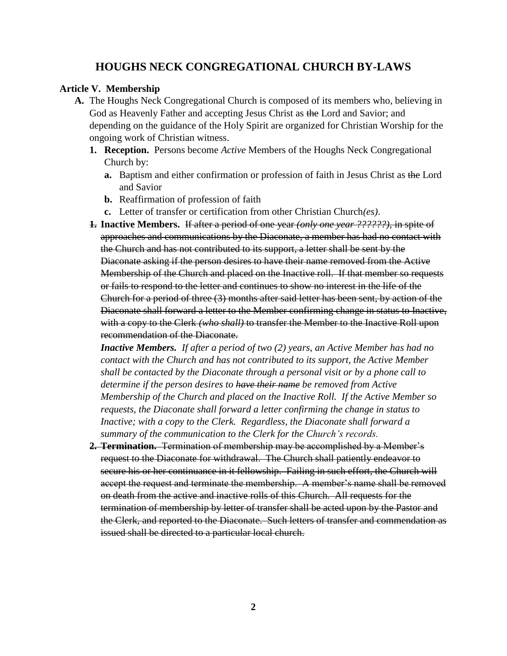#### **Article V. Membership**

- **A.** The Houghs Neck Congregational Church is composed of its members who, believing in God as Heavenly Father and accepting Jesus Christ as the Lord and Savior; and depending on the guidance of the Holy Spirit are organized for Christian Worship for the ongoing work of Christian witness.
	- **1. Reception.** Persons become *Active* Members of the Houghs Neck Congregational Church by:
		- **a.** Baptism and either confirmation or profession of faith in Jesus Christ as the Lord and Savior
		- **b.** Reaffirmation of profession of faith
		- **c.** Letter of transfer or certification from other Christian Church*(es)*.
	- **1. Inactive Members.** If after a period of one year *(only one year ??????)*, in spite of approaches and communications by the Diaconate, a member has had no contact with the Church and has not contributed to its support, a letter shall be sent by the Diaconate asking if the person desires to have their name removed from the Active Membership of the Church and placed on the Inactive roll. If that member so requests or fails to respond to the letter and continues to show no interest in the life of the Church for a period of three (3) months after said letter has been sent, by action of the Diaconate shall forward a letter to the Member confirming change in status to Inactive, with a copy to the Clerk *(who shall)* to transfer the Member to the Inactive Roll upon recommendation of the Diaconate.

*Inactive Members. If after a period of two (2) years, an Active Member has had no contact with the Church and has not contributed to its support, the Active Member shall be contacted by the Diaconate through a personal visit or by a phone call to determine if the person desires to have their name be removed from Active Membership of the Church and placed on the Inactive Roll. If the Active Member so requests, the Diaconate shall forward a letter confirming the change in status to Inactive; with a copy to the Clerk. Regardless, the Diaconate shall forward a summary of the communication to the Clerk for the Church's records.*

**2. Termination.** Termination of membership may be accomplished by a Member's request to the Diaconate for withdrawal. The Church shall patiently endeavor to secure his or her continuance in it fellowship. Failing in such effort, the Church will accept the request and terminate the membership. A member's name shall be removed on death from the active and inactive rolls of this Church. All requests for the termination of membership by letter of transfer shall be acted upon by the Pastor and the Clerk, and reported to the Diaconate. Such letters of transfer and commendation as issued shall be directed to a particular local church.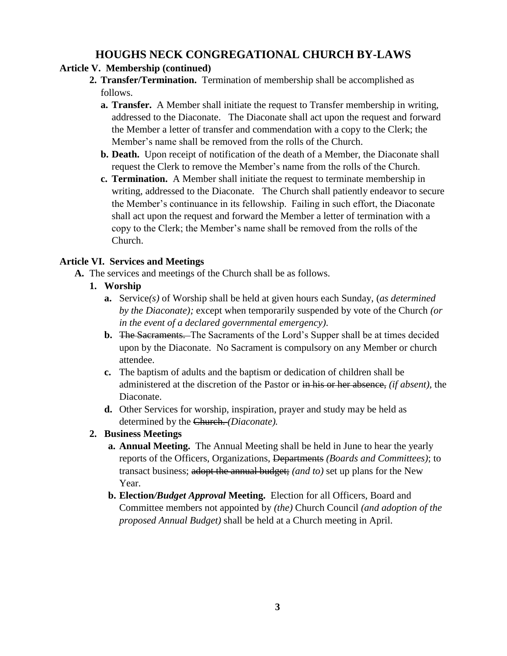# **Article V. Membership (continued)**

- **2. Transfer/Termination.** Termination of membership shall be accomplished as follows.
	- **a. Transfer.** A Member shall initiate the request to Transfer membership in writing, addressed to the Diaconate. The Diaconate shall act upon the request and forward the Member a letter of transfer and commendation with a copy to the Clerk; the Member's name shall be removed from the rolls of the Church.
	- **b. Death.** Upon receipt of notification of the death of a Member, the Diaconate shall request the Clerk to remove the Member's name from the rolls of the Church.
	- **c. Termination.** A Member shall initiate the request to terminate membership in writing, addressed to the Diaconate. The Church shall patiently endeavor to secure the Member's continuance in its fellowship. Failing in such effort, the Diaconate shall act upon the request and forward the Member a letter of termination with a copy to the Clerk; the Member's name shall be removed from the rolls of the Church.

# **Article VI. Services and Meetings**

- **A.** The services and meetings of the Church shall be as follows.
	- **1. Worship**
		- **a.** Service*(s)* of Worship shall be held at given hours each Sunday, (*as determined by the Diaconate);* except when temporarily suspended by vote of the Church *(or in the event of a declared governmental emergency)*.
		- **b.** The Sacraments. The Sacraments of the Lord's Supper shall be at times decided upon by the Diaconate. No Sacrament is compulsory on any Member or church attendee.
		- **c.** The baptism of adults and the baptism or dedication of children shall be administered at the discretion of the Pastor or in his or her absence, *(if absent),* the Diaconate.
		- **d.** Other Services for worship, inspiration, prayer and study may be held as determined by the Church. *(Diaconate).*

# **2. Business Meetings**

- **a. Annual Meeting.** The Annual Meeting shall be held in June to hear the yearly reports of the Officers, Organizations, Departments *(Boards and Committees)*; to transact business; adopt the annual budget; *(and to)* set up plans for the New Year.
- **b. Election***/Budget Approval* **Meeting.** Election for all Officers, Board and Committee members not appointed by *(the)* Church Council *(and adoption of the proposed Annual Budget)* shall be held at a Church meeting in April.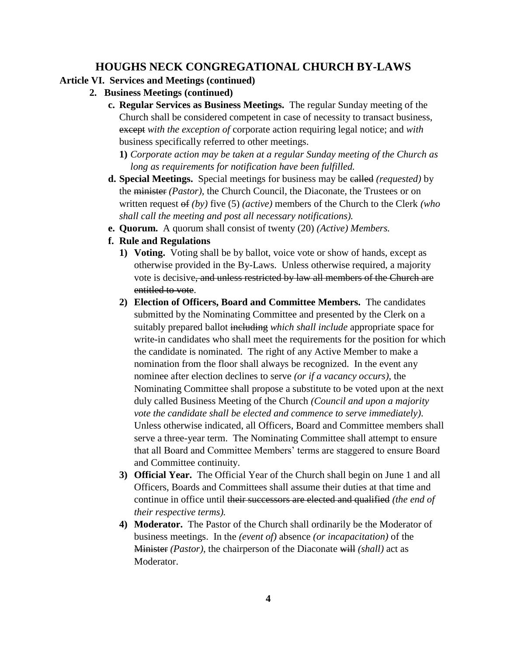# **Article VI. Services and Meetings (continued)**

- **2. Business Meetings (continued)**
	- **c. Regular Services as Business Meetings.** The regular Sunday meeting of the Church shall be considered competent in case of necessity to transact business, except *with the exception of* corporate action requiring legal notice; and *with*  business specifically referred to other meetings.
		- **1)** *Corporate action may be taken at a regular Sunday meeting of the Church as long as requirements for notification have been fulfilled.*
	- **d. Special Meetings.** Special meetings for business may be called *(requested)* by the minister *(Pastor),* the Church Council, the Diaconate, the Trustees or on written request of *(by)* five (5) *(active)* members of the Church to the Clerk *(who shall call the meeting and post all necessary notifications).*
	- **e. Quorum.** A quorum shall consist of twenty (20) *(Active) Members.*
	- **f. Rule and Regulations**
		- **1) Voting.** Voting shall be by ballot, voice vote or show of hands, except as otherwise provided in the By-Laws. Unless otherwise required, a majority vote is decisive, and unless restricted by law all members of the Church are entitled to vote.
		- **2) Election of Officers, Board and Committee Members.** The candidates submitted by the Nominating Committee and presented by the Clerk on a suitably prepared ballot including *which shall include* appropriate space for write-in candidates who shall meet the requirements for the position for which the candidate is nominated. The right of any Active Member to make a nomination from the floor shall always be recognized. In the event any nominee after election declines to serve *(or if a vacancy occurs)*, the Nominating Committee shall propose a substitute to be voted upon at the next duly called Business Meeting of the Church *(Council and upon a majority vote the candidate shall be elected and commence to serve immediately)*. Unless otherwise indicated, all Officers, Board and Committee members shall serve a three-year term. The Nominating Committee shall attempt to ensure that all Board and Committee Members' terms are staggered to ensure Board and Committee continuity.
		- **3) Official Year.** The Official Year of the Church shall begin on June 1 and all Officers, Boards and Committees shall assume their duties at that time and continue in office until their successors are elected and qualified *(the end of their respective terms).*
		- **4) Moderator.** The Pastor of the Church shall ordinarily be the Moderator of business meetings. In the *(event of)* absence *(or incapacitation)* of the Minister *(Pastor)*, the chairperson of the Diaconate will *(shall)* act as Moderator.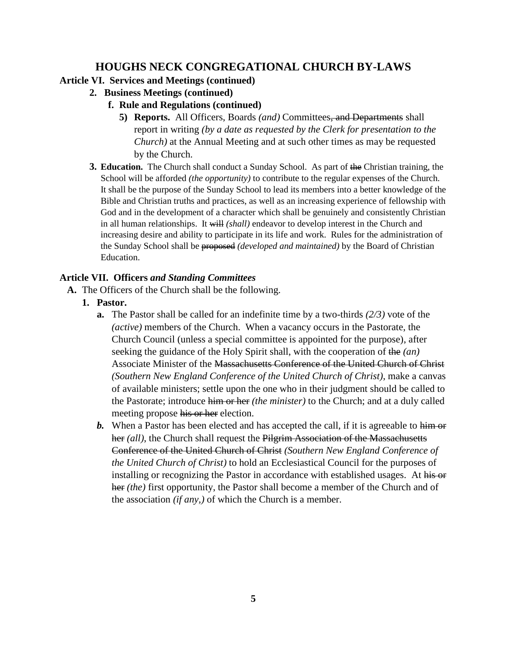# **Article VI. Services and Meetings (continued)**

- **2. Business Meetings (continued)**
	- **f. Rule and Regulations (continued)**
		- **5) Reports.** All Officers, Boards *(and)* Committees, and Departments shall report in writing *(by a date as requested by the Clerk for presentation to the Church)* at the Annual Meeting and at such other times as may be requested by the Church.
- **3. Education.** The Church shall conduct a Sunday School. As part of the Christian training, the School will be afforded *(the opportunity)* to contribute to the regular expenses of the Church. It shall be the purpose of the Sunday School to lead its members into a better knowledge of the Bible and Christian truths and practices, as well as an increasing experience of fellowship with God and in the development of a character which shall be genuinely and consistently Christian in all human relationships. It will *(shall)* endeavor to develop interest in the Church and increasing desire and ability to participate in its life and work. Rules for the administration of the Sunday School shall be proposed *(developed and maintained)* by the Board of Christian Education.

# **Article VII. Officers** *and Standing Committees*

- **A.** The Officers of the Church shall be the following.
	- **1. Pastor.** 
		- **a.** The Pastor shall be called for an indefinite time by a two-thirds *(2/3)* vote of the *(active)* members of the Church. When a vacancy occurs in the Pastorate, the Church Council (unless a special committee is appointed for the purpose), after seeking the guidance of the Holy Spirit shall, with the cooperation of the *(an)*  Associate Minister of the Massachusetts Conference of the United Church of Christ *(Southern New England Conference of the United Church of Christ)*, make a canvas of available ministers; settle upon the one who in their judgment should be called to the Pastorate; introduce him or her *(the minister)* to the Church; and at a duly called meeting propose his or her election.
		- **b.** When a Pastor has been elected and has accepted the call, if it is agreeable to him or her *(all)*, the Church shall request the Pilgrim Association of the Massachusetts Conference of the United Church of Christ *(Southern New England Conference of the United Church of Christ)* to hold an Ecclesiastical Council for the purposes of installing or recognizing the Pastor in accordance with established usages. At his or her *(the)* first opportunity, the Pastor shall become a member of the Church and of the association *(if any,)* of which the Church is a member.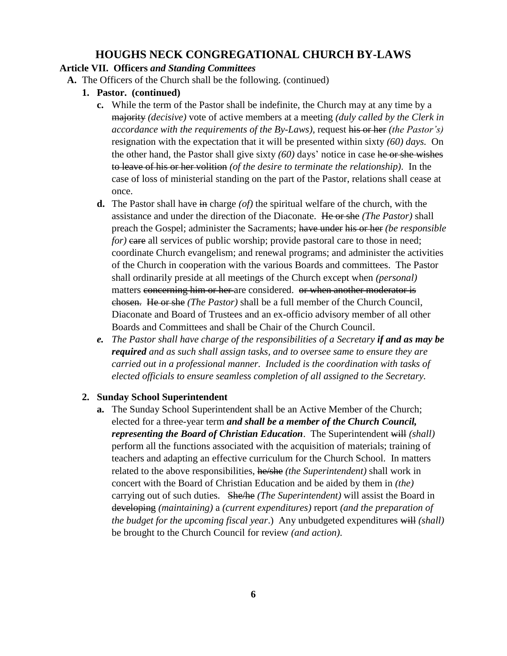### **Article VII. Officers** *and Standing Committees*

- **A.** The Officers of the Church shall be the following. (continued)
	- **1. Pastor. (continued)**
		- **c.** While the term of the Pastor shall be indefinite, the Church may at any time by a majority *(decisive)* vote of active members at a meeting *(duly called by the Clerk in accordance with the requirements of the By-Laws)*, request his or her *(the Pastor's)* resignation with the expectation that it will be presented within sixty *(60) days.* On the other hand, the Pastor shall give sixty *(60)* days' notice in case he or she wishes to leave of his or her volition *(of the desire to terminate the relationship)*. In the case of loss of ministerial standing on the part of the Pastor, relations shall cease at once.
		- **d.** The Pastor shall have in charge *(of)* the spiritual welfare of the church, with the assistance and under the direction of the Diaconate. He or she *(The Pastor)* shall preach the Gospel; administer the Sacraments; have under his or her *(be responsible for*) **care** all services of public worship; provide pastoral care to those in need; coordinate Church evangelism; and renewal programs; and administer the activities of the Church in cooperation with the various Boards and committees. The Pastor shall ordinarily preside at all meetings of the Church except when *(personal)*  matters concerning him or her are considered. or when another moderator is chosen. He or she *(The Pastor)* shall be a full member of the Church Council, Diaconate and Board of Trustees and an ex-officio advisory member of all other Boards and Committees and shall be Chair of the Church Council.
		- *e. The Pastor shall have charge of the responsibilities of a Secretary if and as may be required and as such shall assign tasks, and to oversee same to ensure they are carried out in a professional manner. Included is the coordination with tasks of elected officials to ensure seamless completion of all assigned to the Secretary.*

#### **2. Sunday School Superintendent**

**a.** The Sunday School Superintendent shall be an Active Member of the Church; elected for a three-year term *and shall be a member of the Church Council, representing the Board of Christian Education.* The Superintendent will *(shall)* perform all the functions associated with the acquisition of materials; training of teachers and adapting an effective curriculum for the Church School. In matters related to the above responsibilities, he/she *(the Superintendent)* shall work in concert with the Board of Christian Education and be aided by them in *(the)*  carrying out of such duties. She/he *(The Superintendent)* will assist the Board in developing *(maintaining)* a *(current expenditures)* report *(and the preparation of the budget for the upcoming fiscal year*.) Any unbudgeted expenditures will *(shall)* be brought to the Church Council for review *(and action)*.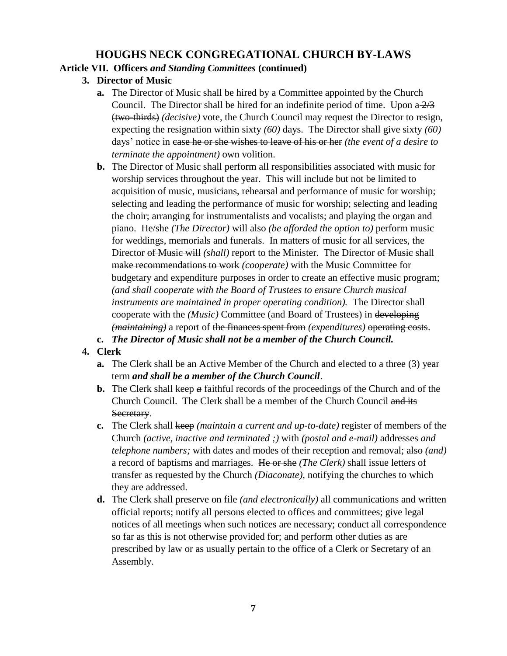# **Article VII. Officers** *and Standing Committees* **(continued)**

- **3. Director of Music**
	- **a.** The Director of Music shall be hired by a Committee appointed by the Church Council. The Director shall be hired for an indefinite period of time. Upon  $a \frac{2}{3}$ (two-thirds) *(decisive)* vote, the Church Council may request the Director to resign, expecting the resignation within sixty *(60)* days. The Director shall give sixty *(60)* days' notice in case he or she wishes to leave of his or her *(the event of a desire to terminate the appointment*) *own volition.*
	- **b.** The Director of Music shall perform all responsibilities associated with music for worship services throughout the year. This will include but not be limited to acquisition of music, musicians, rehearsal and performance of music for worship; selecting and leading the performance of music for worship; selecting and leading the choir; arranging for instrumentalists and vocalists; and playing the organ and piano. He/she *(The Director)* will also *(be afforded the option to)* perform music for weddings, memorials and funerals. In matters of music for all services, the Director of Music will *(shall)* report to the Minister. The Director of Music shall make recommendations to work *(cooperate)* with the Music Committee for budgetary and expenditure purposes in order to create an effective music program; *(and shall cooperate with the Board of Trustees to ensure Church musical instruments are maintained in proper operating condition).* The Director shall cooperate with the *(Music)* Committee (and Board of Trustees) in developing *(maintaining)* a report of the finances spent from *(expenditures)* operating costs.
	- **c.** *The Director of Music shall not be a member of the Church Council.*

# **4. Clerk**

- **a.** The Clerk shall be an Active Member of the Church and elected to a three (3) year term *and shall be a member of the Church Council*.
- **b.** The Clerk shall keep *a* faithful records of the proceedings of the Church and of the Church Council. The Clerk shall be a member of the Church Council and its Secretary.
- **c.** The Clerk shall keep *(maintain a current and up-to-date)* register of members of the Church *(active, inactive and terminated ;)* with *(postal and e-mail)* addresses *and telephone numbers;* with dates and modes of their reception and removal; also *(and)* a record of baptisms and marriages. He or she *(The Clerk)* shall issue letters of transfer as requested by the Church *(Diaconate)*, notifying the churches to which they are addressed.
- **d.** The Clerk shall preserve on file *(and electronically)* all communications and written official reports; notify all persons elected to offices and committees; give legal notices of all meetings when such notices are necessary; conduct all correspondence so far as this is not otherwise provided for; and perform other duties as are prescribed by law or as usually pertain to the office of a Clerk or Secretary of an Assembly.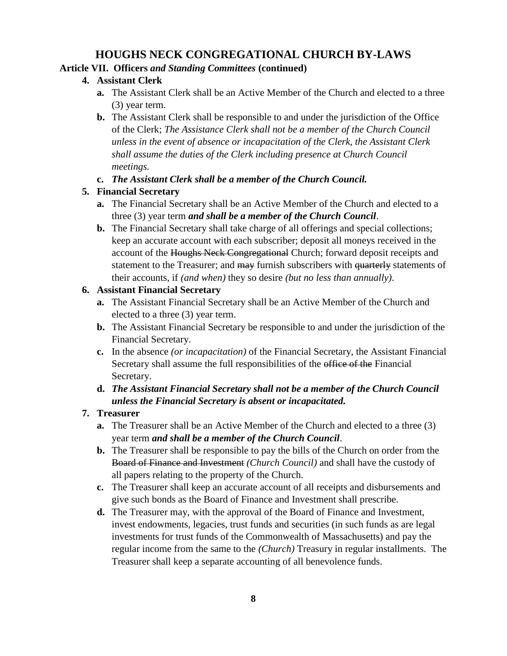### **Article VII. Officers** *and Standing Committees* **(continued)**

### **4. Assistant Clerk**

- **a.** The Assistant Clerk shall be an Active Member of the Church and elected to a three (3) year term.
- **b.** The Assistant Clerk shall be responsible to and under the jurisdiction of the Office of the Clerk; *The Assistance Clerk shall not be a member of the Church Council unless in the event of absence or incapacitation of the Clerk, the Assistant Clerk shall assume the duties of the Clerk including presence at Church Council meetings.*

### **c.** *The Assistant Clerk shall be a member of the Church Council.*

### **5. Financial Secretary**

- **a.** The Financial Secretary shall be an Active Member of the Church and elected to a three (3) year term *and shall be a member of the Church Council*.
- **b.** The Financial Secretary shall take charge of all offerings and special collections; keep an accurate account with each subscriber; deposit all moneys received in the account of the Houghs Neck Congregational Church; forward deposit receipts and statement to the Treasurer; and may furnish subscribers with quarterly statements of their accounts, if *(and when)* they so desire *(but no less than annually)*.

### **6. Assistant Financial Secretary**

- **a.** The Assistant Financial Secretary shall be an Active Member of the Church and elected to a three (3) year term.
- **b.** The Assistant Financial Secretary be responsible to and under the jurisdiction of the Financial Secretary.
- **c.** In the absence *(or incapacitation)* of the Financial Secretary, the Assistant Financial Secretary shall assume the full responsibilities of the office of the Financial Secretary.
- **d.** *The Assistant Financial Secretary shall not be a member of the Church Council unless the Financial Secretary is absent or incapacitated.*

# **7. Treasurer**

- **a.** The Treasurer shall be an Active Member of the Church and elected to a three (3) year term *and shall be a member of the Church Council*.
- **b.** The Treasurer shall be responsible to pay the bills of the Church on order from the Board of Finance and Investment *(Church Council)* and shall have the custody of all papers relating to the property of the Church.
- **c.** The Treasurer shall keep an accurate account of all receipts and disbursements and give such bonds as the Board of Finance and Investment shall prescribe.
- **d.** The Treasurer may, with the approval of the Board of Finance and Investment, invest endowments, legacies, trust funds and securities (in such funds as are legal investments for trust funds of the Commonwealth of Massachusetts) and pay the regular income from the same to the *(Church)* Treasury in regular installments. The Treasurer shall keep a separate accounting of all benevolence funds.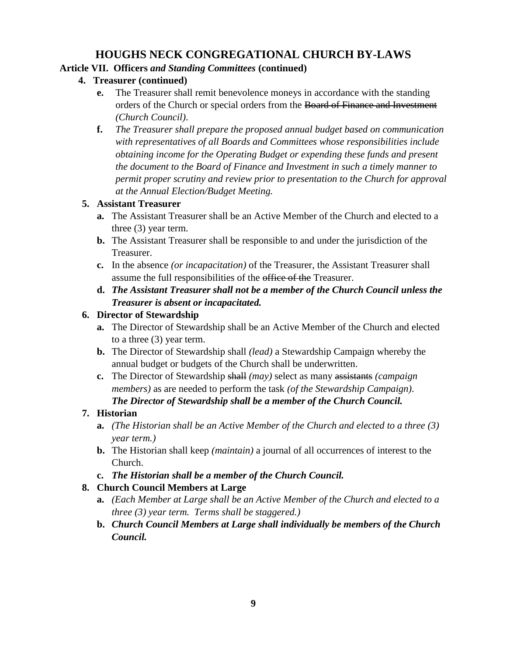### **Article VII. Officers** *and Standing Committees* **(continued)**

- **4. Treasurer (continued)**
	- **e.** The Treasurer shall remit benevolence moneys in accordance with the standing orders of the Church or special orders from the Board of Finance and Investment *(Church Council)*.
	- **f.** *The Treasurer shall prepare the proposed annual budget based on communication with representatives of all Boards and Committees whose responsibilities include obtaining income for the Operating Budget or expending these funds and present the document to the Board of Finance and Investment in such a timely manner to permit proper scrutiny and review prior to presentation to the Church for approval at the Annual Election/Budget Meeting.*

### **5. Assistant Treasurer**

- **a.** The Assistant Treasurer shall be an Active Member of the Church and elected to a three (3) year term.
- **b.** The Assistant Treasurer shall be responsible to and under the jurisdiction of the Treasurer.
- **c.** In the absence *(or incapacitation)* of the Treasurer, the Assistant Treasurer shall assume the full responsibilities of the office of the Treasurer.
- **d.** *The Assistant Treasurer shall not be a member of the Church Council unless the Treasurer is absent or incapacitated.*

### **6. Director of Stewardship**

- **a.** The Director of Stewardship shall be an Active Member of the Church and elected to a three (3) year term.
- **b.** The Director of Stewardship shall *(lead)* a Stewardship Campaign whereby the annual budget or budgets of the Church shall be underwritten.
- **c.** The Director of Stewardship shall *(may)* select as many assistants *(campaign members)* as are needed to perform the task *(of the Stewardship Campaign)*. *The Director of Stewardship shall be a member of the Church Council.*

# **7. Historian**

- **a.** *(The Historian shall be an Active Member of the Church and elected to a three (3) year term.)*
- **b.** The Historian shall keep *(maintain)* a journal of all occurrences of interest to the Church.
- **c.** *The Historian shall be a member of the Church Council.*

# **8. Church Council Members at Large**

- **a.** *(Each Member at Large shall be an Active Member of the Church and elected to a three (3) year term. Terms shall be staggered.)*
- **b.** *Church Council Members at Large shall individually be members of the Church Council.*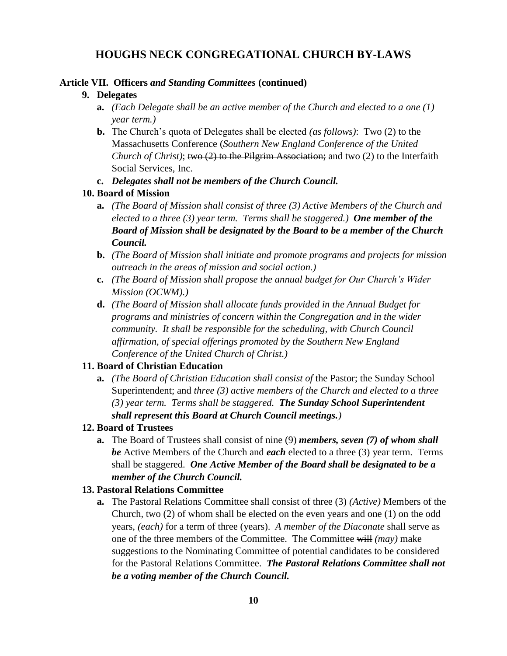#### **Article VII. Officers** *and Standing Committees* **(continued)**

#### **9. Delegates**

- **a.** *(Each Delegate shall be an active member of the Church and elected to a one (1) year term.)*
- **b.** The Church's quota of Delegates shall be elected *(as follows)*: Two (2) to the Massachusetts Conference (*Southern New England Conference of the United Church of Christ)*; two (2) to the Pilgrim Association; and two (2) to the Interfaith Social Services, Inc.
- **c.** *Delegates shall not be members of the Church Council.*

#### **10. Board of Mission**

- **a.** *(The Board of Mission shall consist of three (3) Active Members of the Church and elected to a three (3) year term. Terms shall be staggered.) One member of the Board of Mission shall be designated by the Board to be a member of the Church Council.*
- **b.** *(The Board of Mission shall initiate and promote programs and projects for mission outreach in the areas of mission and social action.)*
- **c.** *(The Board of Mission shall propose the annual budget for Our Church's Wider Mission (OCWM).)*
- **d.** *(The Board of Mission shall allocate funds provided in the Annual Budget for programs and ministries of concern within the Congregation and in the wider community. It shall be responsible for the scheduling, with Church Council affirmation, of special offerings promoted by the Southern New England Conference of the United Church of Christ.)*

#### **11. Board of Christian Education**

**a.** *(The Board of Christian Education shall consist of* the Pastor; the Sunday School Superintendent; and *three (3) active members of the Church and elected to a three (3) year term. Terms shall be staggered. The Sunday School Superintendent shall represent this Board at Church Council meetings.)*

#### **12. Board of Trustees**

**a.** The Board of Trustees shall consist of nine (9) *members, seven (7) of whom shall be* Active Members of the Church and *each* elected to a three (3) year term. Terms shall be staggered. *One Active Member of the Board shall be designated to be a member of the Church Council.*

#### **13. Pastoral Relations Committee**

**a.** The Pastoral Relations Committee shall consist of three (3) *(Active)* Members of the Church, two (2) of whom shall be elected on the even years and one (1) on the odd years, *(each)* for a term of three (years). *A member of the Diaconate* shall serve as one of the three members of the Committee. The Committee will *(may)* make suggestions to the Nominating Committee of potential candidates to be considered for the Pastoral Relations Committee. *The Pastoral Relations Committee shall not be a voting member of the Church Council.*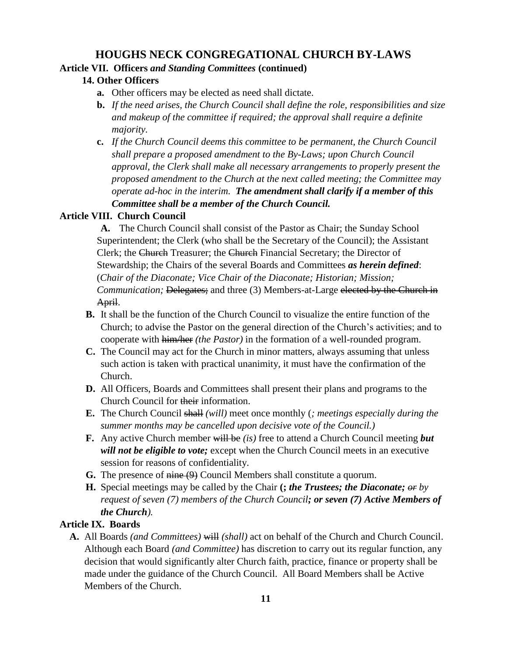#### **Article VII. Officers** *and Standing Committees* **(continued)**

### **14. Other Officers**

- **a.** Other officers may be elected as need shall dictate.
- **b.** *If the need arises, the Church Council shall define the role, responsibilities and size and makeup of the committee if required; the approval shall require a definite majority.*
- **c.** *If the Church Council deems this committee to be permanent, the Church Council shall prepare a proposed amendment to the By-Laws; upon Church Council approval, the Clerk shall make all necessary arrangements to properly present the proposed amendment to the Church at the next called meeting; the Committee may operate ad-hoc in the interim. The amendment shall clarify if a member of this Committee shall be a member of the Church Council.*

### **Article VIII. Church Council**

**A.** The Church Council shall consist of the Pastor as Chair; the Sunday School Superintendent; the Clerk (who shall be the Secretary of the Council); the Assistant Clerk; the Church Treasurer; the Church Financial Secretary; the Director of Stewardship; the Chairs of the several Boards and Committees *as herein defined*: (*Chair of the Diaconate; Vice Chair of the Diaconate; Historian; Mission; Communication;* Delegates; and three (3) Members-at-Large elected by the Church in April.

- **B.** It shall be the function of the Church Council to visualize the entire function of the Church; to advise the Pastor on the general direction of the Church's activities; and to cooperate with him/her *(the Pastor)* in the formation of a well-rounded program.
- **C.** The Council may act for the Church in minor matters, always assuming that unless such action is taken with practical unanimity, it must have the confirmation of the Church.
- **D.** All Officers, Boards and Committees shall present their plans and programs to the Church Council for their information.
- **E.** The Church Council shall *(will)* meet once monthly (*; meetings especially during the summer months may be cancelled upon decisive vote of the Council.)*
- **F.** Any active Church member will be *(is)* free to attend a Church Council meeting *but will not be eligible to vote;* except when the Church Council meets in an executive session for reasons of confidentiality.
- **G.** The presence of nine (9) Council Members shall constitute a quorum.
- **H.** Special meetings may be called by the Chair **(;** *the Trustees; the Diaconate; or by request of seven (7) members of the Church Council; or seven (7) Active Members of the Church).*

### **Article IX. Boards**

**A.** All Boards *(and Committees)* will *(shall)* act on behalf of the Church and Church Council. Although each Board *(and Committee)* has discretion to carry out its regular function, any decision that would significantly alter Church faith, practice, finance or property shall be made under the guidance of the Church Council. All Board Members shall be Active Members of the Church.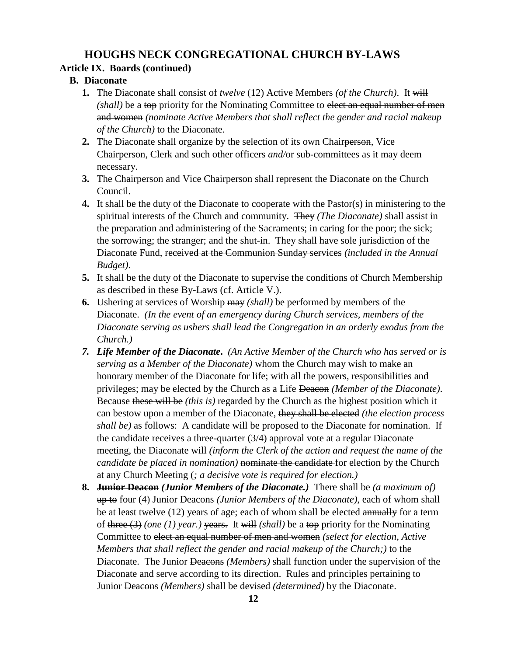### **Article IX. Boards (continued)**

### **B. Diaconate**

- **1.** The Diaconate shall consist of *twelve* (12) Active Members *(of the Church)*. It will *(shall)* be a top priority for the Nominating Committee to elect an equal number of men and women *(nominate Active Members that shall reflect the gender and racial makeup of the Church)* to the Diaconate.
- **2.** The Diaconate shall organize by the selection of its own Chairperson, Vice Chairperson, Clerk and such other officers *and/*or sub-committees as it may deem necessary.
- **3.** The Chairperson and Vice Chairperson shall represent the Diaconate on the Church Council.
- **4.** It shall be the duty of the Diaconate to cooperate with the Pastor(s) in ministering to the spiritual interests of the Church and community. They *(The Diaconate)* shall assist in the preparation and administering of the Sacraments; in caring for the poor; the sick; the sorrowing; the stranger; and the shut-in. They shall have sole jurisdiction of the Diaconate Fund, received at the Communion Sunday services *(included in the Annual Budget)*.
- **5.** It shall be the duty of the Diaconate to supervise the conditions of Church Membership as described in these By-Laws (cf. Article V.).
- **6.** Ushering at services of Worship may *(shall)* be performed by members of the Diaconate. *(In the event of an emergency during Church services, members of the Diaconate serving as ushers shall lead the Congregation in an orderly exodus from the Church.)*
- *7. Life Member of the Diaconate***.** *(An Active Member of the Church who has served or is serving as a Member of the Diaconate)* whom the Church may wish to make an honorary member of the Diaconate for life; with all the powers, responsibilities and privileges; may be elected by the Church as a Life Deacon *(Member of the Diaconate)*. Because these will be *(this is)* regarded by the Church as the highest position which it can bestow upon a member of the Diaconate, they shall be elected *(the election process shall be)* as follows: A candidate will be proposed to the Diaconate for nomination. If the candidate receives a three-quarter (3/4) approval vote at a regular Diaconate meeting, the Diaconate will *(inform the Clerk of the action and request the name of the candidate be placed in nomination*) nominate the candidate for election by the Church at any Church Meeting (*; a decisive vote is required for election.)*
- **8. Junior Deacon** *(Junior Members of the Diaconate.)*There shall be *(a maximum of)*  up to four (4) Junior Deacons *(Junior Members of the Diaconate)*, each of whom shall be at least twelve (12) years of age; each of whom shall be elected annually for a term of three (3) *(one (1) year.)* years. It will *(shall)* be a top priority for the Nominating Committee to elect an equal number of men and women *(select for election, Active Members that shall reflect the gender and racial makeup of the Church;)* to the Diaconate. The Junior Deacons *(Members)* shall function under the supervision of the Diaconate and serve according to its direction. Rules and principles pertaining to Junior Deacons *(Members)* shall be devised *(determined)* by the Diaconate.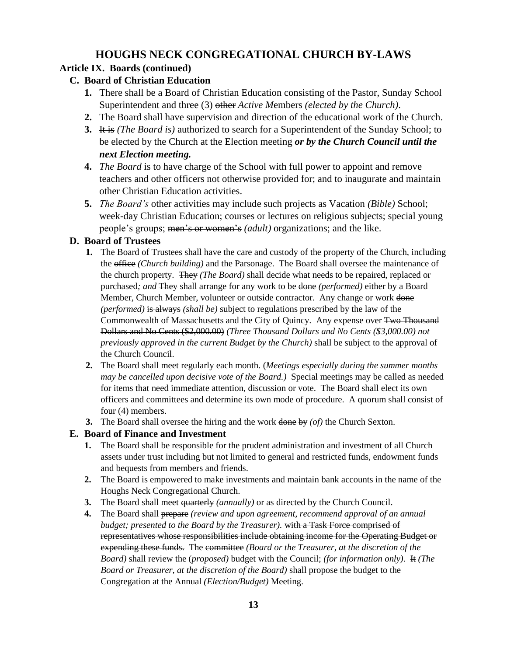# **Article IX. Boards (continued)**

- **C. Board of Christian Education**
	- **1.** There shall be a Board of Christian Education consisting of the Pastor, Sunday School Superintendent and three (3) other *Active M*embers *(elected by the Church)*.
	- **2.** The Board shall have supervision and direction of the educational work of the Church.
	- **3.** It is *(The Board is)* authorized to search for a Superintendent of the Sunday School; to be elected by the Church at the Election meeting *or by the Church Council until the next Election meeting.*
	- **4.** *The Board* is to have charge of the School with full power to appoint and remove teachers and other officers not otherwise provided for; and to inaugurate and maintain other Christian Education activities.
	- **5.** *The Board's* other activities may include such projects as Vacation *(Bible)* School; week-day Christian Education; courses or lectures on religious subjects; special young people's groups; men's or women's *(adult)* organizations; and the like.

# **D. Board of Trustees**

- **1.** The Board of Trustees shall have the care and custody of the property of the Church, including the office *(Church building)* and the Parsonage. The Board shall oversee the maintenance of the church property. They *(The Board)* shall decide what needs to be repaired, replaced or purchased*; and* They shall arrange for any work to be done *(performed)* either by a Board Member, Church Member, volunteer or outside contractor. Any change or work done *(performed)* is always *(shall be)* subject to regulations prescribed by the law of the Commonwealth of Massachusetts and the City of Quincy. Any expense over Two Thousand Dollars and No Cents (\$2,000.00) *(Three Thousand Dollars and No Cents (\$3,000.00) not previously approved in the current Budget by the Church)* shall be subject to the approval of the Church Council.
- **2.** The Board shall meet regularly each month. (*Meetings especially during the summer months may be cancelled upon decisive vote of the Board.)* Special meetings may be called as needed for items that need immediate attention, discussion or vote. The Board shall elect its own officers and committees and determine its own mode of procedure. A quorum shall consist of four (4) members.
- **3.** The Board shall oversee the hiring and the work done by *(of)* the Church Sexton.

# **E. Board of Finance and Investment**

- **1.** The Board shall be responsible for the prudent administration and investment of all Church assets under trust including but not limited to general and restricted funds, endowment funds and bequests from members and friends.
- **2.** The Board is empowered to make investments and maintain bank accounts in the name of the Houghs Neck Congregational Church.
- **3.** The Board shall meet quarterly *(annually)* or as directed by the Church Council.
- **4.** The Board shall prepare *(review and upon agreement, recommend approval of an annual budget; presented to the Board by the Treasurer).* with a Task Force comprised of representatives whose responsibilities include obtaining income for the Operating Budget or expending these funds. The committee *(Board or the Treasurer, at the discretion of the Board)* shall review the (*proposed)* budget with the Council; *(for information only)*. It *(The Board or Treasurer, at the discretion of the Board)* shall propose the budget to the Congregation at the Annual *(Election/Budget)* Meeting.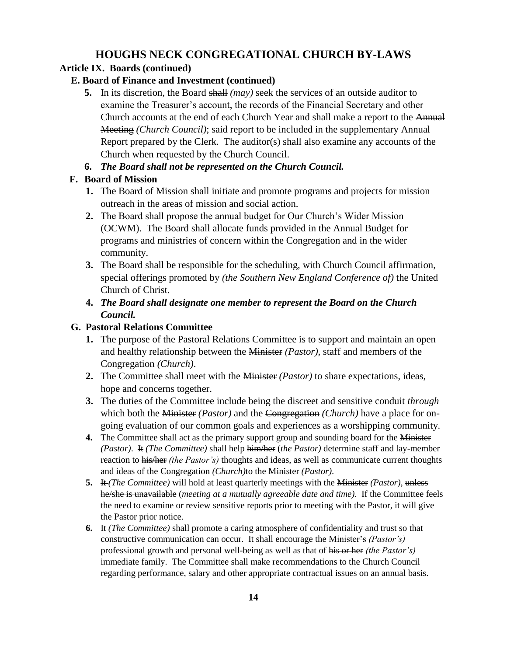## **Article IX. Boards (continued)**

### **E. Board of Finance and Investment (continued)**

**5.** In its discretion, the Board shall *(may)* seek the services of an outside auditor to examine the Treasurer's account, the records of the Financial Secretary and other Church accounts at the end of each Church Year and shall make a report to the Annual Meeting *(Church Council)*; said report to be included in the supplementary Annual Report prepared by the Clerk. The auditor(s) shall also examine any accounts of the Church when requested by the Church Council.

### **6.** *The Board shall not be represented on the Church Council.*

### **F. Board of Mission**

- **1.** The Board of Mission shall initiate and promote programs and projects for mission outreach in the areas of mission and social action.
- **2.** The Board shall propose the annual budget for Our Church's Wider Mission (OCWM). The Board shall allocate funds provided in the Annual Budget for programs and ministries of concern within the Congregation and in the wider community.
- **3.** The Board shall be responsible for the scheduling, with Church Council affirmation, special offerings promoted by *(the Southern New England Conference of)* the United Church of Christ.
- **4.** *The Board shall designate one member to represent the Board on the Church Council.*

### **G. Pastoral Relations Committee**

- **1.** The purpose of the Pastoral Relations Committee is to support and maintain an open and healthy relationship between the Minister *(Pastor)*, staff and members of the Congregation *(Church)*.
- **2.** The Committee shall meet with the Minister *(Pastor)* to share expectations, ideas, hope and concerns together.
- **3.** The duties of the Committee include being the discreet and sensitive conduit *through* which both the Minister *(Pastor)* and the Congregation *(Church)* have a place for ongoing evaluation of our common goals and experiences as a worshipping community.
- **4.** The Committee shall act as the primary support group and sounding board for the Minister *(Pastor)*. It *(The Committee)* shall help him/her (*the Pastor)* determine staff and lay-member reaction to his/her *(the Pastor's)* thoughts and ideas, as well as communicate current thoughts and ideas of the Congregation *(Church)*to the Minister *(Pastor)*.
- **5.** It *(The Committee)* will hold at least quarterly meetings with the Minister *(Pastor)*, unless he/she is unavailable (*meeting at a mutually agreeable date and time).* If the Committee feels the need to examine or review sensitive reports prior to meeting with the Pastor, it will give the Pastor prior notice.
- **6.** It *(The Committee)* shall promote a caring atmosphere of confidentiality and trust so that constructive communication can occur. It shall encourage the Minister's *(Pastor's)* professional growth and personal well-being as well as that of his or her *(the Pastor's)*  immediate family. The Committee shall make recommendations to the Church Council regarding performance, salary and other appropriate contractual issues on an annual basis.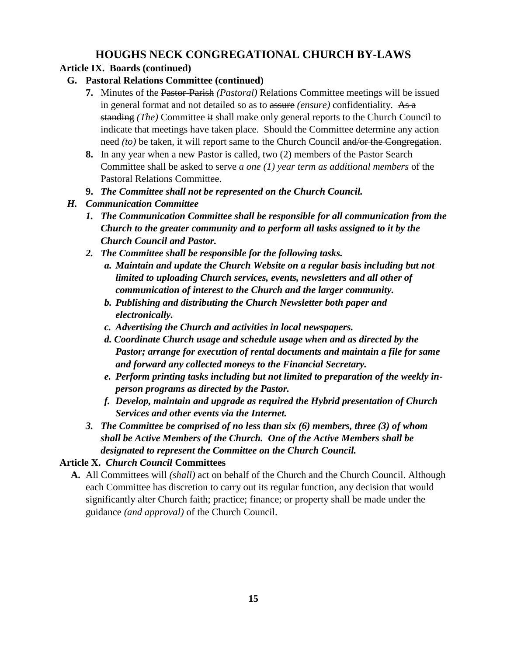# **Article IX. Boards (continued)**

- **G. Pastoral Relations Committee (continued)**
	- **7.** Minutes of the Pastor-Parish *(Pastoral)* Relations Committee meetings will be issued in general format and not detailed so as to assure *(ensure)* confidentiality. As a standing *(The)* Committee it shall make only general reports to the Church Council to indicate that meetings have taken place. Should the Committee determine any action need *(to)* be taken, it will report same to the Church Council and/or the Congregation.
	- **8.** In any year when a new Pastor is called, two (2) members of the Pastor Search Committee shall be asked to serve *a one (1) year term as additional members* of the Pastoral Relations Committee.
	- **9.** *The Committee shall not be represented on the Church Council.*

# *H. Communication Committee*

- *1. The Communication Committee shall be responsible for all communication from the Church to the greater community and to perform all tasks assigned to it by the Church Council and Pastor.*
- *2. The Committee shall be responsible for the following tasks.*
	- *a. Maintain and update the Church Website on a regular basis including but not limited to uploading Church services, events, newsletters and all other of communication of interest to the Church and the larger community.*
	- *b. Publishing and distributing the Church Newsletter both paper and electronically.*
	- *c. Advertising the Church and activities in local newspapers.*
	- *d. Coordinate Church usage and schedule usage when and as directed by the Pastor; arrange for execution of rental documents and maintain a file for same and forward any collected moneys to the Financial Secretary.*
	- *e. Perform printing tasks including but not limited to preparation of the weekly inperson programs as directed by the Pastor.*
	- *f. Develop, maintain and upgrade as required the Hybrid presentation of Church Services and other events via the Internet.*
- *3. The Committee be comprised of no less than six (6) members, three (3) of whom shall be Active Members of the Church. One of the Active Members shall be designated to represent the Committee on the Church Council.*

# **Article X.** *Church Council* **Committees**

**A.** All Committees will *(shall)* act on behalf of the Church and the Church Council. Although each Committee has discretion to carry out its regular function, any decision that would significantly alter Church faith; practice; finance; or property shall be made under the guidance *(and approval)* of the Church Council.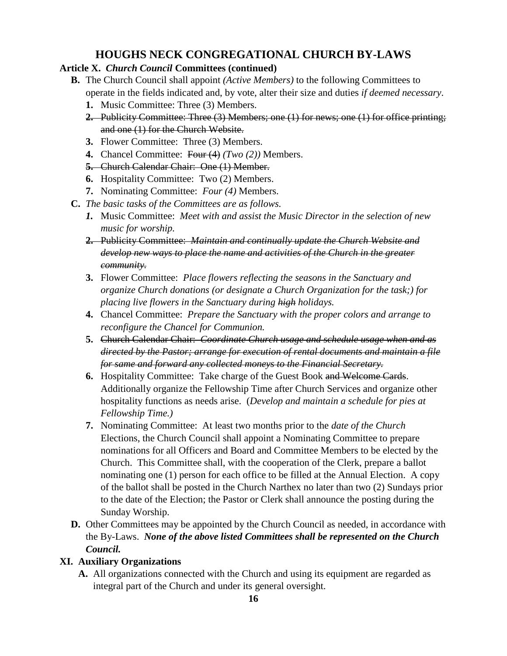# **Article X.** *Church Council* **Committees (continued)**

- **B.** The Church Council shall appoint *(Active Members)* to the following Committees to operate in the fields indicated and, by vote, alter their size and duties *if deemed necessary*.
	- **1.** Music Committee: Three (3) Members.
	- **2.** Publicity Committee: Three (3) Members; one (1) for news; one (1) for office printing; and one (1) for the Church Website.
	- **3.** Flower Committee: Three (3) Members.
	- **4.** Chancel Committee: Four (4) *(Two (2))* Members.
	- **5.** Church Calendar Chair: One (1) Member.
	- **6.** Hospitality Committee: Two (2) Members.
	- **7.** Nominating Committee: *Four (4)* Members.
- **C.** *The basic tasks of the Committees are as follows.*
	- *1.* Music Committee: *Meet with and assist the Music Director in the selection of new music for worship.*
	- **2.** Publicity Committee: *Maintain and continually update the Church Website and develop new ways to place the name and activities of the Church in the greater community.*
	- **3.** Flower Committee: *Place flowers reflecting the seasons in the Sanctuary and organize Church donations (or designate a Church Organization for the task;) for placing live flowers in the Sanctuary during high holidays.*
	- **4.** Chancel Committee: *Prepare the Sanctuary with the proper colors and arrange to reconfigure the Chancel for Communion.*
	- **5.** Church Calendar Chair: *Coordinate Church usage and schedule usage when and as directed by the Pastor; arrange for execution of rental documents and maintain a file for same and forward any collected moneys to the Financial Secretary.*
	- **6.** Hospitality Committee: Take charge of the Guest Book and Welcome Cards. Additionally organize the Fellowship Time after Church Services and organize other hospitality functions as needs arise. (*Develop and maintain a schedule for pies at Fellowship Time.)*
	- **7.** Nominating Committee: At least two months prior to the *date of the Church*  Elections, the Church Council shall appoint a Nominating Committee to prepare nominations for all Officers and Board and Committee Members to be elected by the Church. This Committee shall, with the cooperation of the Clerk, prepare a ballot nominating one (1) person for each office to be filled at the Annual Election. A copy of the ballot shall be posted in the Church Narthex no later than two (2) Sundays prior to the date of the Election; the Pastor or Clerk shall announce the posting during the Sunday Worship.
- **D.** Other Committees may be appointed by the Church Council as needed, in accordance with the By-Laws. *None of the above listed Committees shall be represented on the Church Council.*

# **XI. Auxiliary Organizations**

**A.** All organizations connected with the Church and using its equipment are regarded as integral part of the Church and under its general oversight.